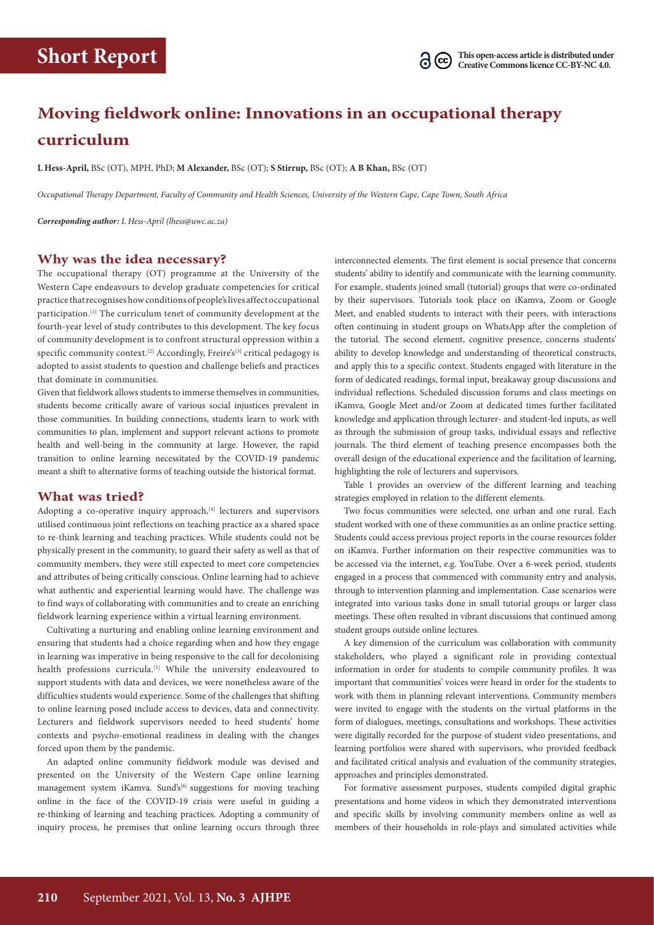# **Moving fieldwork online: Innovations in an occupational therapy curriculum**

**L Hess-April,** BSc (OT), MPH, PhD; **M Alexander,** BSc (OT); **S Stirrup,** BSc (OT); **A B Khan,** BSc (OT)

*Occupational Therapy Department, Faculty of Community and Health Sciences, University of the Western Cape, Cape Town, South Africa*

*Corresponding author: L Hess-April ([lhess@uwc.ac.za\)](mailto:lhess@uwc.ac.za)*

# **Why was the idea necessary?**

The occupational therapy (OT) programme at the University of the Western Cape endeavours to develop graduate competencies for critical practice that recognises how conditions of people's lives affect occupational participation.[1] The curriculum tenet of community development at the fourth-year level of study contributes to this development. The key focus of community development is to confront structural oppression within a specific community context.<sup>[2]</sup> Accordingly, Freire's<sup>[3]</sup> critical pedagogy is adopted to assist students to question and challenge beliefs and practices that dominate in communities.

Given that fieldwork allows students to immerse themselves in communities, students become critically aware of various social injustices prevalent in those communities. In building connections, students learn to work with communities to plan, implement and support relevant actions to promote health and well-being in the community at large. However, the rapid transition to online learning necessitated by the COVID-19 pandemic meant a shift to alternative forms of teaching outside the historical format.

## **What was tried?**

Adopting a co-operative inquiry approach,<sup>[4]</sup> lecturers and supervisors utilised continuous joint reflections on teaching practice as a shared space to re-think learning and teaching practices. While students could not be physically present in the community, to guard their safety as well as that of community members, they were still expected to meet core competencies and attributes of being critically conscious. Online learning had to achieve what authentic and experiential learning would have. The challenge was to find ways of collaborating with communities and to create an enriching fieldwork learning experience within a virtual learning environment.

Cultivating a nurturing and enabling online learning environment and ensuring that students had a choice regarding when and how they engage in learning was imperative in being responsive to the call for decolonising health professions curricula.<sup>[5]</sup> While the university endeavoured to support students with data and devices, we were nonetheless aware of the difficulties students would experience. Some of the challenges that shifting to online learning posed include access to devices, data and connectivity. Lecturers and fieldwork supervisors needed to heed students' home contexts and psycho-emotional readiness in dealing with the changes forced upon them by the pandemic.

An adapted online community fieldwork module was devised and presented on the University of the Western Cape online learning management system iKamva. Sund's<sup>[6]</sup> suggestions for moving teaching online in the face of the COVID-19 crisis were useful in guiding a re-thinking of learning and teaching practices. Adopting a community of inquiry process, he premises that online learning occurs through three interconnected elements. The first element is social presence that concerns students' ability to identify and communicate with the learning community. For example, students joined small (tutorial) groups that were co-ordinated by their supervisors. Tutorials took place on iKamva, Zoom or Google Meet, and enabled students to interact with their peers, with interactions often continuing in student groups on WhatsApp after the completion of the tutorial. The second element, cognitive presence, concerns students' ability to develop knowledge and understanding of theoretical constructs, and apply this to a specific context. Students engaged with literature in the form of dedicated readings, formal input, breakaway group discussions and individual reflections. Scheduled discussion forums and class meetings on iKamva, Google Meet and/or Zoom at dedicated times further facilitated knowledge and application through lecturer- and student-led inputs, as well as through the submission of group tasks, individual essays and reflective journals. The third element of teaching presence encompasses both the overall design of the educational experience and the facilitation of learning, highlighting the role of lecturers and supervisors.

Table 1 provides an overview of the different learning and teaching strategies employed in relation to the different elements.

Two focus communities were selected, one urban and one rural. Each student worked with one of these communities as an online practice setting. Students could access previous project reports in the course resources folder on iKamva. Further information on their respective communities was to be accessed via the internet, e.g. YouTube. Over a 6-week period, students engaged in a process that commenced with community entry and analysis, through to intervention planning and implementation. Case scenarios were integrated into various tasks done in small tutorial groups or larger class meetings. These often resulted in vibrant discussions that continued among student groups outside online lectures.

A key dimension of the curriculum was collaboration with community stakeholders, who played a significant role in providing contextual information in order for students to compile community profiles. It was important that communities' voices were heard in order for the students to work with them in planning relevant interventions. Community members were invited to engage with the students on the virtual platforms in the form of dialogues, meetings, consultations and workshops. These activities were digitally recorded for the purpose of student video presentations, and learning portfolios were shared with supervisors, who provided feedback and facilitated critical analysis and evaluation of the community strategies, approaches and principles demonstrated.

For formative assessment purposes, students compiled digital graphic presentations and home videos in which they demonstrated interventions and specific skills by involving community members online as well as members of their households in role-plays and simulated activities while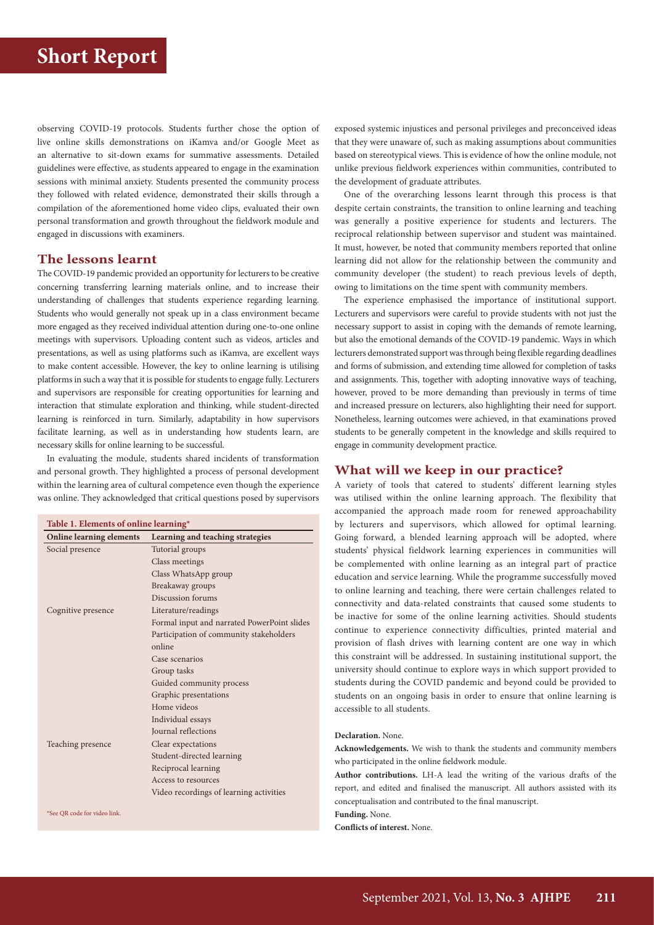observing COVID-19 protocols. Students further chose the option of live online skills demonstrations on iKamva and/or Google Meet as an alternative to sit-down exams for summative assessments. Detailed guidelines were effective, as students appeared to engage in the examination sessions with minimal anxiety. Students presented the community process they followed with related evidence, demonstrated their skills through a compilation of the aforementioned home video clips, evaluated their own personal transformation and growth throughout the fieldwork module and engaged in discussions with examiners.

# **The lessons learnt**

The COVID-19 pandemic provided an opportunity for lecturers to be creative concerning transferring learning materials online, and to increase their understanding of challenges that students experience regarding learning. Students who would generally not speak up in a class environment became more engaged as they received individual attention during one-to-one online meetings with supervisors. Uploading content such as videos, articles and presentations, as well as using platforms such as iKamva, are excellent ways to make content accessible. However, the key to online learning is utilising platforms in such a way that it is possible for students to engage fully. Lecturers and supervisors are responsible for creating opportunities for learning and interaction that stimulate exploration and thinking, while student-directed learning is reinforced in turn. Similarly, adaptability in how supervisors facilitate learning, as well as in understanding how students learn, are necessary skills for online learning to be successful.

In evaluating the module, students shared incidents of transformation and personal growth. They highlighted a process of personal development within the learning area of cultural competence even though the experience was online. They acknowledged that critical questions posed by supervisors

| Table 1. Elements of online learning* |                                             |
|---------------------------------------|---------------------------------------------|
| <b>Online learning elements</b>       | Learning and teaching strategies            |
| Social presence                       | Tutorial groups                             |
|                                       | Class meetings                              |
|                                       | Class WhatsApp group                        |
|                                       | Breakaway groups                            |
|                                       | Discussion forums                           |
| Cognitive presence                    | Literature/readings                         |
|                                       | Formal input and narrated PowerPoint slides |
|                                       | Participation of community stakeholders     |
|                                       | online                                      |
|                                       | Case scenarios                              |
|                                       | Group tasks                                 |
|                                       | Guided community process                    |
|                                       | Graphic presentations                       |
|                                       | Home videos                                 |
|                                       | Individual essays                           |
|                                       | <b>Journal</b> reflections                  |
| Teaching presence                     | Clear expectations                          |
|                                       | Student-directed learning                   |
|                                       | Reciprocal learning                         |
|                                       | Access to resources                         |
|                                       | Video recordings of learning activities     |
|                                       |                                             |

\*See QR code for video link.

exposed systemic injustices and personal privileges and preconceived ideas that they were unaware of, such as making assumptions about communities based on stereotypical views. This is evidence of how the online module, not unlike previous fieldwork experiences within communities, contributed to the development of graduate attributes.

One of the overarching lessons learnt through this process is that despite certain constraints, the transition to online learning and teaching was generally a positive experience for students and lecturers. The reciprocal relationship between supervisor and student was maintained. It must, however, be noted that community members reported that online learning did not allow for the relationship between the community and community developer (the student) to reach previous levels of depth, owing to limitations on the time spent with community members.

The experience emphasised the importance of institutional support. Lecturers and supervisors were careful to provide students with not just the necessary support to assist in coping with the demands of remote learning, but also the emotional demands of the COVID-19 pandemic. Ways in which lecturers demonstrated support was through being flexible regarding deadlines and forms of submission, and extending time allowed for completion of tasks and assignments. This, together with adopting innovative ways of teaching, however, proved to be more demanding than previously in terms of time and increased pressure on lecturers, also highlighting their need for support. Nonetheless, learning outcomes were achieved, in that examinations proved students to be generally competent in the knowledge and skills required to engage in community development practice.

#### **What will we keep in our practice?**

A variety of tools that catered to students' different learning styles was utilised within the online learning approach. The flexibility that accompanied the approach made room for renewed approachability by lecturers and supervisors, which allowed for optimal learning. Going forward, a blended learning approach will be adopted, where students' physical fieldwork learning experiences in communities will be complemented with online learning as an integral part of practice education and service learning. While the programme successfully moved to online learning and teaching, there were certain challenges related to connectivity and data-related constraints that caused some students to be inactive for some of the online learning activities. Should students continue to experience connectivity difficulties, printed material and provision of flash drives with learning content are one way in which this constraint will be addressed. In sustaining institutional support, the university should continue to explore ways in which support provided to students during the COVID pandemic and beyond could be provided to students on an ongoing basis in order to ensure that online learning is accessible to all students.

## **Declaration.** None.

**Acknowledgements.** We wish to thank the students and community members who participated in the online fieldwork module.

**Author contributions.** LH-A lead the writing of the various drafts of the report, and edited and finalised the manuscript. All authors assisted with its conceptualisation and contributed to the final manuscript.

**Funding.** None.

**Conflicts of interest.** None.